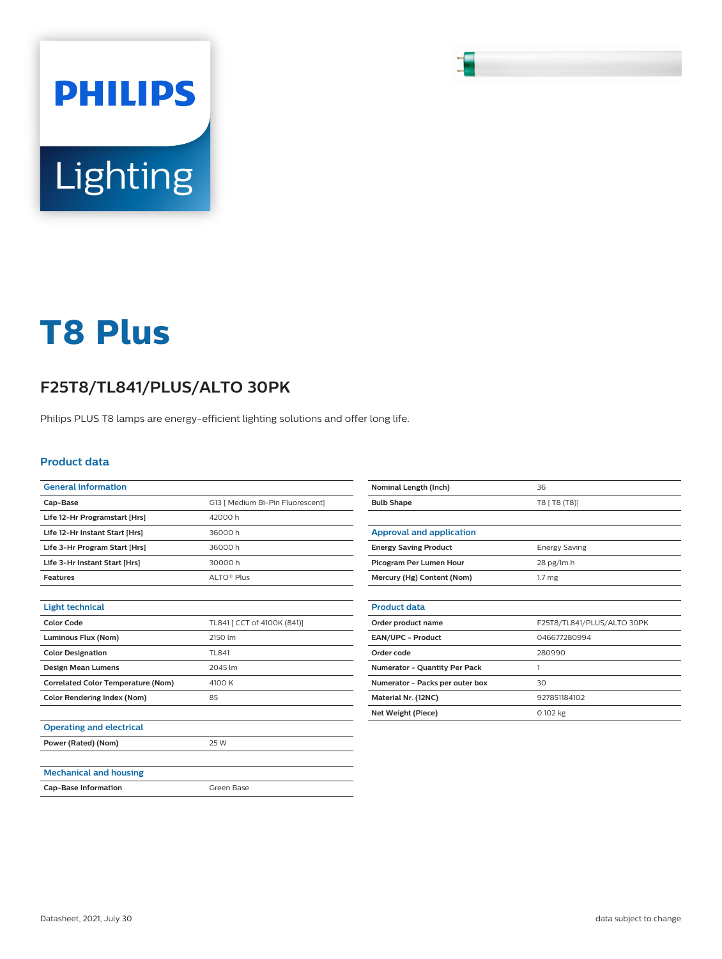# Lighting

**PHILIPS** 

# **T8 Plus**

## **F25T8/TL841/PLUS/ALTO 30PK**

Philips PLUS T8 lamps are energy-efficient lighting solutions and offer long life.

### **Product data**

| <b>General information</b>                |                                  |
|-------------------------------------------|----------------------------------|
| Cap-Base                                  | G13   Medium Bi-Pin Fluorescent] |
| Life 12-Hr Programstart [Hrs]             | 42000h                           |
| Life 12-Hr Instant Start [Hrs]            | 36000h                           |
| Life 3-Hr Program Start [Hrs]             | 36000h                           |
| Life 3-Hr Instant Start [Hrs]             | 30000 h                          |
| <b>Features</b>                           | ALTO <sup>®</sup> Plus           |
|                                           |                                  |
| <b>Light technical</b>                    |                                  |
| Color Code                                | TL841 [ CCT of 4100K (841)]      |
| Luminous Flux (Nom)                       | 2150 lm                          |
| <b>Color Designation</b>                  | TL841                            |
| <b>Design Mean Lumens</b>                 | 2045 lm                          |
| <b>Correlated Color Temperature (Nom)</b> | 4100 K                           |
| <b>Color Rendering Index (Nom)</b>        | 85                               |
|                                           |                                  |
| <b>Operating and electrical</b>           |                                  |
| Power (Rated) (Nom)                       | 25 W                             |
|                                           |                                  |
| <b>Mechanical and housing</b>             |                                  |
| <b>Cap-Base Information</b>               | Green Base                       |
|                                           |                                  |

| Nominal Length (Inch)           | 36                         |
|---------------------------------|----------------------------|
| <b>Bulb Shape</b>               | T8 [ T8 (T8)]              |
|                                 |                            |
| <b>Approval and application</b> |                            |
| <b>Energy Saving Product</b>    | <b>Energy Saving</b>       |
| Picogram Per Lumen Hour         | 28 pg/lm.h                 |
| Mercury (Hg) Content (Nom)      | 1.7 <sub>mg</sub>          |
|                                 |                            |
| <b>Product data</b>             |                            |
| Order product name              | F25T8/TL841/PLUS/ALTO 30PK |
| <b>EAN/UPC - Product</b>        | 046677280994               |
| Order code                      | 280990                     |
| Numerator - Quantity Per Pack   | 1                          |
| Numerator - Packs per outer box | 30                         |
| Material Nr. (12NC)             | 927851184102               |
| <b>Net Weight (Piece)</b>       | 0.102 kg                   |